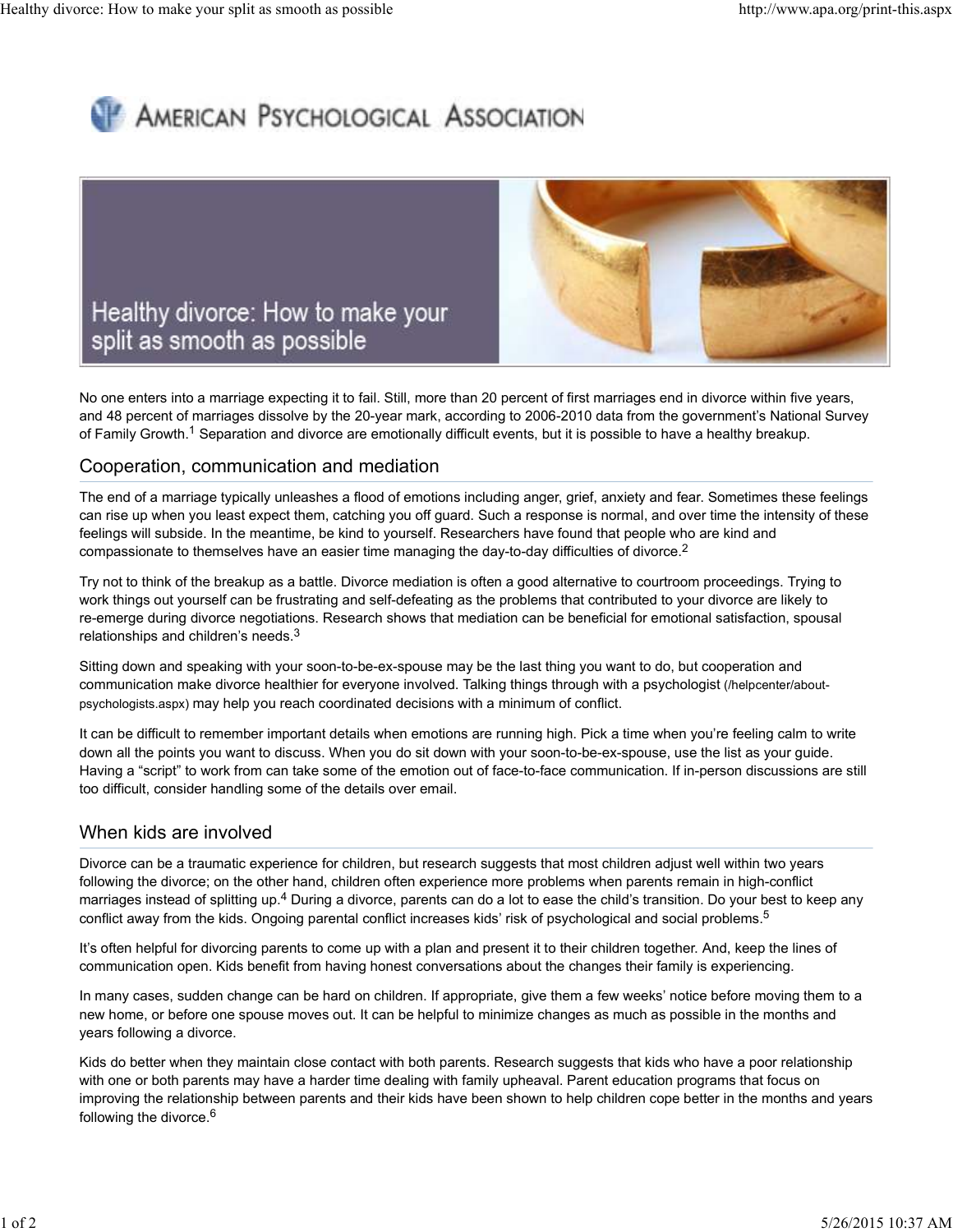# **AMERICAN PSYCHOLOGICAL ASSOCIATION**



No one enters into a marriage expecting it to fail. Still, more than 20 percent of first marriages end in divorce within five years, and 48 percent of marriages dissolve by the 20-year mark, according to 2006-2010 data from the government's National Survey of Family Growth.<sup>1</sup> Separation and divorce are emotionally difficult events, but it is possible to have a healthy breakup.

### Cooperation, communication and mediation

The end of a marriage typically unleashes a flood of emotions including anger, grief, anxiety and fear. Sometimes these feelings can rise up when you least expect them, catching you off guard. Such a response is normal, and over time the intensity of these feelings will subside. In the meantime, be kind to yourself. Researchers have found that people who are kind and compassionate to themselves have an easier time managing the day-to-day difficulties of divorce.<sup>2</sup>

Try not to think of the breakup as a battle. Divorce mediation is often a good alternative to courtroom proceedings. Trying to work things out yourself can be frustrating and self-defeating as the problems that contributed to your divorce are likely to re-emerge during divorce negotiations. Research shows that mediation can be beneficial for emotional satisfaction, spousal relationships and children's needs. $^3$ 

Sitting down and speaking with your soon-to-be-ex-spouse may be the last thing you want to do, but cooperation and communication make divorce healthier for everyone involved. Talking things through with a psychologist (/helpcenter/aboutpsychologists.aspx) may help you reach coordinated decisions with a minimum of conflict.

It can be difficult to remember important details when emotions are running high. Pick a time when you're feeling calm to write down all the points you want to discuss. When you do sit down with your soon-to-be-ex-spouse, use the list as your guide. Having a "script" to work from can take some of the emotion out of face-to-face communication. If in-person discussions are still too difficult, consider handling some of the details over email.

## When kids are involved

Divorce can be a traumatic experience for children, but research suggests that most children adjust well within two years following the divorce; on the other hand, children often experience more problems when parents remain in high-conflict marriages instead of splitting up.<sup>4</sup> During a divorce, parents can do a lot to ease the child's transition. Do your best to keep any conflict away from the kids. Ongoing parental conflict increases kids' risk of psychological and social problems. 5

It's often helpful for divorcing parents to come up with a plan and present it to their children together. And, keep the lines of communication open. Kids benefit from having honest conversations about the changes their family is experiencing.

In many cases, sudden change can be hard on children. If appropriate, give them a few weeks' notice before moving them to a new home, or before one spouse moves out. It can be helpful to minimize changes as much as possible in the months and years following a divorce.

Kids do better when they maintain close contact with both parents. Research suggests that kids who have a poor relationship with one or both parents may have a harder time dealing with family upheaval. Parent education programs that focus on improving the relationship between parents and their kids have been shown to help children cope better in the months and years following the divorce.<sup>6</sup>